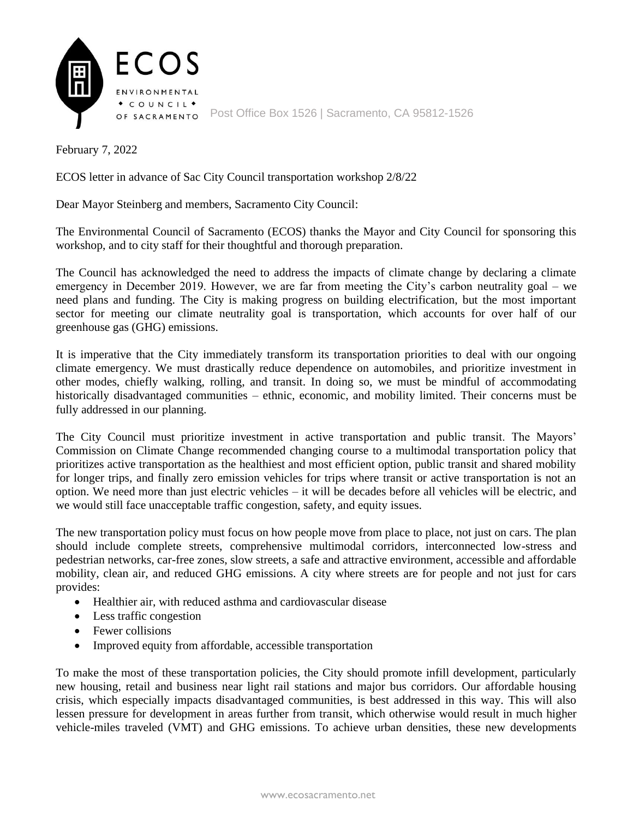

February 7, 2022

ECOS letter in advance of Sac City Council transportation workshop 2/8/22

Dear Mayor Steinberg and members, Sacramento City Council:

The Environmental Council of Sacramento (ECOS) thanks the Mayor and City Council for sponsoring this workshop, and to city staff for their thoughtful and thorough preparation.

The Council has acknowledged the need to address the impacts of climate change by declaring a climate emergency in December 2019. However, we are far from meeting the City's carbon neutrality goal – we need plans and funding. The City is making progress on building electrification, but the most important sector for meeting our climate neutrality goal is transportation, which accounts for over half of our greenhouse gas (GHG) emissions.

It is imperative that the City immediately transform its transportation priorities to deal with our ongoing climate emergency. We must drastically reduce dependence on automobiles, and prioritize investment in other modes, chiefly walking, rolling, and transit. In doing so, we must be mindful of accommodating historically disadvantaged communities – ethnic, economic, and mobility limited. Their concerns must be fully addressed in our planning.

The City Council must prioritize investment in active transportation and public transit. The Mayors' Commission on Climate Change recommended changing course to a multimodal transportation policy that prioritizes active transportation as the healthiest and most efficient option, public transit and shared mobility for longer trips, and finally zero emission vehicles for trips where transit or active transportation is not an option. We need more than just electric vehicles – it will be decades before all vehicles will be electric, and we would still face unacceptable traffic congestion, safety, and equity issues.

The new transportation policy must focus on how people move from place to place, not just on cars. The plan should include complete streets, comprehensive multimodal corridors, interconnected low-stress and pedestrian networks, car-free zones, slow streets, a safe and attractive environment, accessible and affordable mobility, clean air, and reduced GHG emissions. A city where streets are for people and not just for cars provides:

- Healthier air, with reduced asthma and cardiovascular disease
- Less traffic congestion
- Fewer collisions
- Improved equity from affordable, accessible transportation

To make the most of these transportation policies, the City should promote infill development, particularly new housing, retail and business near light rail stations and major bus corridors. Our affordable housing crisis, which especially impacts disadvantaged communities, is best addressed in this way. This will also lessen pressure for development in areas further from transit, which otherwise would result in much higher vehicle-miles traveled (VMT) and GHG emissions. To achieve urban densities, these new developments